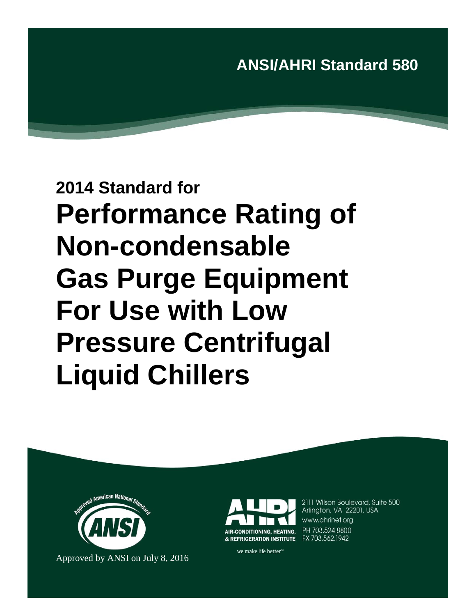## **ANSI/AHRI Standard 580**

# **2014 Standard for Performance Rating of Non-condensable Gas Purge Equipment For Use with Low Pressure Centrifugal Liquid Chillers**





2111 Wilson Boulevard, Suite 500 Arlington, VA 22201, USA www.ahrinet.org PH 703.524.8800

we make life better<sup>™</sup>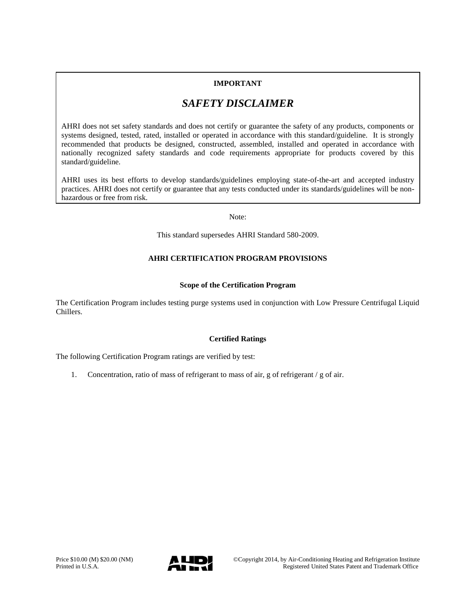### **IMPORTANT**

### *SAFETY DISCLAIMER*

AHRI does not set safety standards and does not certify or guarantee the safety of any products, components or systems designed, tested, rated, installed or operated in accordance with this standard/guideline. It is strongly recommended that products be designed, constructed, assembled, installed and operated in accordance with nationally recognized safety standards and code requirements appropriate for products covered by this standard/guideline.

AHRI uses its best efforts to develop standards/guidelines employing state-of-the-art and accepted industry practices. AHRI does not certify or guarantee that any tests conducted under its standards/guidelines will be nonhazardous or free from risk.

Note:

This standard supersedes AHRI Standard 580-2009.

### **AHRI CERTIFICATION PROGRAM PROVISIONS**

### **Scope of the Certification Program**

The Certification Program includes testing purge systems used in conjunction with Low Pressure Centrifugal Liquid Chillers.

### **Certified Ratings**

The following Certification Program ratings are verified by test:

1. Concentration, ratio of mass of refrigerant to mass of air, g of refrigerant / g of air.

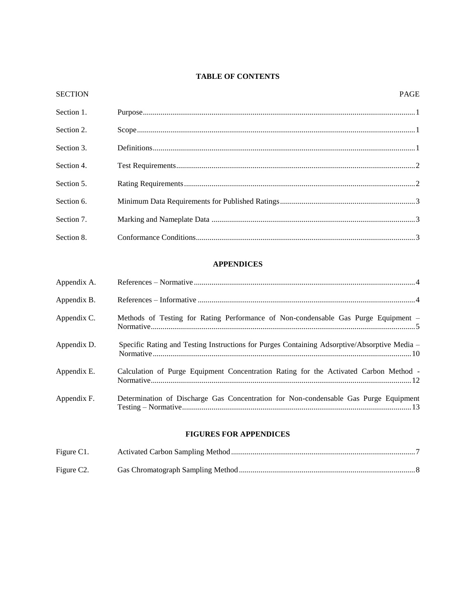### **TABLE OF CONTENTS**

| <b>SECTION</b> | <b>PAGE</b> |
|----------------|-------------|
| Section 1.     |             |
| Section 2.     |             |
| Section 3.     |             |
| Section 4.     |             |
| Section 5.     |             |
| Section 6.     |             |
| Section 7.     |             |
| Section 8.     |             |
|                |             |

### **APPENDICES**

| Appendix A. |                                                                                              |
|-------------|----------------------------------------------------------------------------------------------|
| Appendix B. |                                                                                              |
| Appendix C. | Methods of Testing for Rating Performance of Non-condensable Gas Purge Equipment -           |
| Appendix D. | Specific Rating and Testing Instructions for Purges Containing Adsorptive/Absorptive Media - |
| Appendix E. | Calculation of Purge Equipment Concentration Rating for the Activated Carbon Method -        |
| Appendix F. | Determination of Discharge Gas Concentration for Non-condensable Gas Purge Equipment         |

### **FIGURES FOR APPENDICES**

| Figure C1.              |  |
|-------------------------|--|
| Figure C <sub>2</sub> . |  |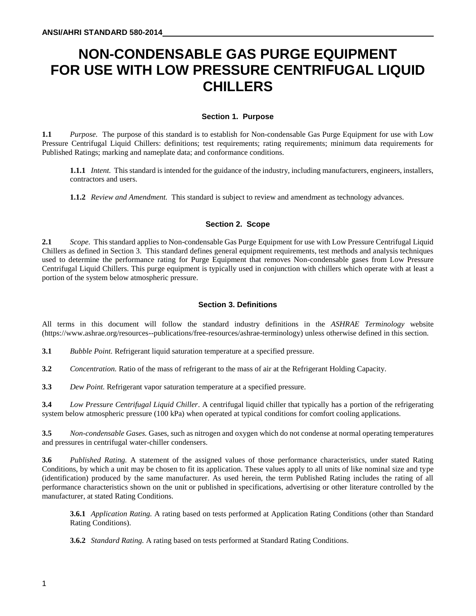### **NON-CONDENSABLE GAS PURGE EQUIPMENT FOR USE WITH LOW PRESSURE CENTRIFUGAL LIQUID CHILLERS**

### **Section 1. Purpose**

**1.1** *Purpose.* The purpose of this standard is to establish for Non-condensable Gas Purge Equipment for use with Low Pressure Centrifugal Liquid Chillers: definitions; test requirements; rating requirements; minimum data requirements for Published Ratings; marking and nameplate data; and conformance conditions.

**1.1.1** *Intent.* This standard is intended for the guidance of the industry, including manufacturers, engineers, installers, contractors and users.

**1.1.2** *Review and Amendment.* This standard is subject to review and amendment as technology advances.

### **Section 2. Scope**

**2.1** *Scope.* This standard applies to Non-condensable Gas Purge Equipment for use with Low Pressure Centrifugal Liquid Chillers as defined in Section 3. This standard defines general equipment requirements, test methods and analysis techniques used to determine the performance rating for Purge Equipment that removes Non-condensable gases from Low Pressure Centrifugal Liquid Chillers. This purge equipment is typically used in conjunction with chillers which operate with at least a portion of the system below atmospheric pressure.

### **Section 3. Definitions**

All terms in this document will follow the standard industry definitions in the *ASHRAE Terminology* website (https://www.ashrae.org/resources--publications/free-resources/ashrae-terminology) unless otherwise defined in this section.

**3.1** *Bubble Point.* Refrigerant liquid saturation temperature at a specified pressure.

**3.2** *Concentration.* Ratio of the mass of refrigerant to the mass of air at the Refrigerant Holding Capacity.

**3.3** *Dew Point.* Refrigerant vapor saturation temperature at a specified pressure.

**3.4** *Low Pressure Centrifugal Liquid Chiller*. A centrifugal liquid chiller that typically has a portion of the refrigerating system below atmospheric pressure (100 kPa) when operated at typical conditions for comfort cooling applications.

**3.5** *Non-condensable Gases.* Gases, such as nitrogen and oxygen which do not condense at normal operating temperatures and pressures in centrifugal water-chiller condensers.

**3.6** *Published Rating.* A statement of the assigned values of those performance characteristics, under stated Rating Conditions, by which a unit may be chosen to fit its application. These values apply to all units of like nominal size and type (identification) produced by the same manufacturer. As used herein, the term Published Rating includes the rating of all performance characteristics shown on the unit or published in specifications, advertising or other literature controlled by the manufacturer, at stated Rating Conditions.

**3.6.1** *Application Rating.* A rating based on tests performed at Application Rating Conditions (other than Standard Rating Conditions).

**3.6.2** *Standard Rating.* A rating based on tests performed at Standard Rating Conditions.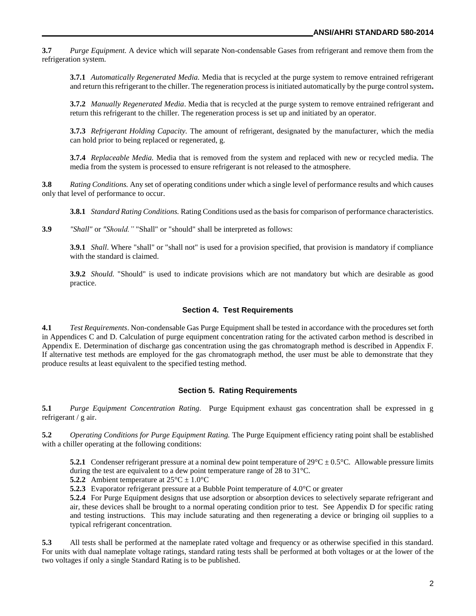**3.7** *Purge Equipment.* A device which will separate Non-condensable Gases from refrigerant and remove them from the refrigeration system.

**3.7.1** *Automatically Regenerated Media.* Media that is recycled at the purge system to remove entrained refrigerant and return this refrigerant to the chiller. The regeneration process is initiated automatically by the purge control system**.** 

**3.7.2** *Manually Regenerated Media*. Media that is recycled at the purge system to remove entrained refrigerant and return this refrigerant to the chiller. The regeneration process is set up and initiated by an operator.

**3.7.3** *Refrigerant Holding Capacity.* The amount of refrigerant, designated by the manufacturer, which the media can hold prior to being replaced or regenerated, g.

**3.7.4** *Replaceable Media.* Media that is removed from the system and replaced with new or recycled media. The media from the system is processed to ensure refrigerant is not released to the atmosphere.

**3.8** *Rating Conditions.* Any set of operating conditions under which a single level of performance results and which causes only that level of performance to occur.

**3.8.1** *Standard Rating Conditions.* Rating Conditions used as the basis for comparison of performance characteristics.

**3.9** *"Shall"* or *"Should."* "Shall" or "should" shall be interpreted as follows:

**3.9.1** *Shall*. Where "shall" or "shall not" is used for a provision specified, that provision is mandatory if compliance with the standard is claimed.

**3.9.2** *Should.* "Should" is used to indicate provisions which are not mandatory but which are desirable as good practice.

#### **Section 4. Test Requirements**

**4.1** *Test Requirements*. Non-condensable Gas Purge Equipment shall be tested in accordance with the procedures set forth in Appendices C and D. Calculation of purge equipment concentration rating for the activated carbon method is described in Appendix E. Determination of discharge gas concentration using the gas chromatograph method is described in Appendix F. If alternative test methods are employed for the gas chromatograph method, the user must be able to demonstrate that they produce results at least equivalent to the specified testing method.

### **Section 5. Rating Requirements**

**5.1** *Purge Equipment Concentration Rating.* Purge Equipment exhaust gas concentration shall be expressed in g refrigerant / g air.

**5.2** *Operating Conditions for Purge Equipment Rating.* The Purge Equipment efficiency rating point shall be established with a chiller operating at the following conditions:

**5.2.1** Condenser refrigerant pressure at a nominal dew point temperature of  $29^{\circ}C \pm 0.5^{\circ}C$ . Allowable pressure limits during the test are equivalent to a dew point temperature range of 28 to 31°C.

**5.2.2** Ambient temperature at  $25^{\circ}C \pm 1.0^{\circ}C$ 

**5.2.3** Evaporator refrigerant pressure at a Bubble Point temperature of 4.0°C or greater

**5.2.4** For Purge Equipment designs that use adsorption or absorption devices to selectively separate refrigerant and air, these devices shall be brought to a normal operating condition prior to test. See Appendix D for specific rating and testing instructions. This may include saturating and then regenerating a device or bringing oil supplies to a typical refrigerant concentration.

**5.3** All tests shall be performed at the nameplate rated voltage and frequency or as otherwise specified in this standard. For units with dual nameplate voltage ratings, standard rating tests shall be performed at both voltages or at the lower of the two voltages if only a single Standard Rating is to be published.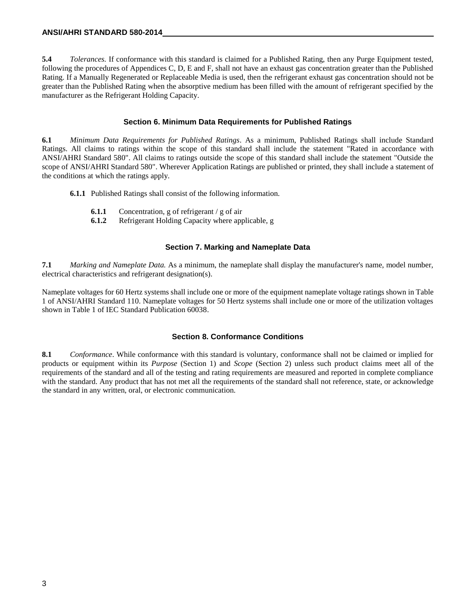**5.4** *Tolerances.* If conformance with this standard is claimed for a Published Rating, then any Purge Equipment tested, following the procedures of Appendices C, D, E and F, shall not have an exhaust gas concentration greater than the Published Rating. If a Manually Regenerated or Replaceable Media is used, then the refrigerant exhaust gas concentration should not be greater than the Published Rating when the absorptive medium has been filled with the amount of refrigerant specified by the manufacturer as the Refrigerant Holding Capacity.

### **Section 6. Minimum Data Requirements for Published Ratings**

**6.1** *Minimum Data Requirements for Published Ratings*. As a minimum, Published Ratings shall include Standard Ratings. All claims to ratings within the scope of this standard shall include the statement "Rated in accordance with ANSI/AHRI Standard 580". All claims to ratings outside the scope of this standard shall include the statement "Outside the scope of ANSI/AHRI Standard 580". Wherever Application Ratings are published or printed, they shall include a statement of the conditions at which the ratings apply.

- **6.1.1** Published Ratings shall consist of the following information.
	- **6.1.1** Concentration, g of refrigerant / g of air
	- **6.1.2** Refrigerant Holding Capacity where applicable, g

### **Section 7. Marking and Nameplate Data**

**7.1** *Marking and Nameplate Data.* As a minimum, the nameplate shall display the manufacturer's name, model number, electrical characteristics and refrigerant designation(s).

Nameplate voltages for 60 Hertz systems shall include one or more of the equipment nameplate voltage ratings shown in Table 1 of ANSI/AHRI Standard 110. Nameplate voltages for 50 Hertz systems shall include one or more of the utilization voltages shown in Table 1 of IEC Standard Publication 60038.

### **Section 8. Conformance Conditions**

**8.1** *Conformance*. While conformance with this standard is voluntary, conformance shall not be claimed or implied for products or equipment within its *Purpose* (Section 1) and *Scope* (Section 2) unless such product claims meet all of the requirements of the standard and all of the testing and rating requirements are measured and reported in complete compliance with the standard. Any product that has not met all the requirements of the standard shall not reference, state, or acknowledge the standard in any written, oral, or electronic communication.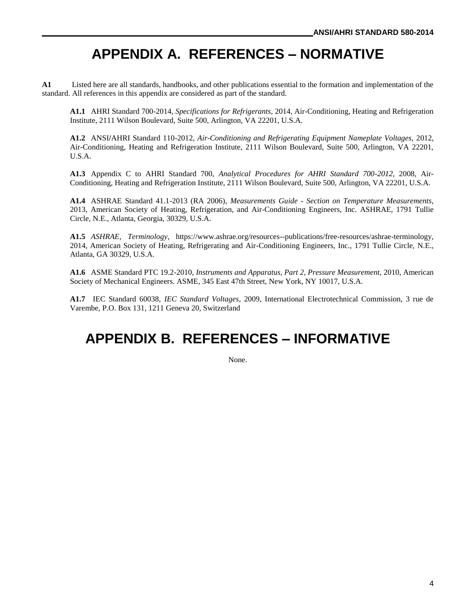### **APPENDIX A. REFERENCES – NORMATIVE**

**A1** Listed here are all standards, handbooks, and other publications essential to the formation and implementation of the standard. All references in this appendix are considered as part of the standard.

**A1.1** AHRI Standard 700-2014, *Specifications for Refrigerants*, 2014, Air-Conditioning, Heating and Refrigeration Institute, 2111 Wilson Boulevard, Suite 500, Arlington, VA 22201, U.S.A.

**A1.2** ANSI**/**AHRI Standard 110-2012, *Air-Conditioning and Refrigerating Equipment Nameplate Voltages,* 2012, Air-Conditioning, Heating and Refrigeration Institute, 2111 Wilson Boulevard, Suite 500, Arlington, VA 22201, U.S.A.

**A1.3** Appendix C to AHRI Standard 700, *Analytical Procedures for AHRI Standard 700-2012,* 2008*,* Air-Conditioning, Heating and Refrigeration Institute, 2111 Wilson Boulevard, Suite 500, Arlington, VA 22201, U.S.A.

**A1.4** ASHRAE Standard 41.1-2013 (RA 2006), *Measurements Guide - Section on Temperature Measurements*, 2013, American Society of Heating, Refrigeration, and Air-Conditioning Engineers, Inc. ASHRAE, 1791 Tullie Circle, N.E., Atlanta, Georgia, 30329, U.S.A.

**A1.5** *ASHRAE, Terminology*, https://www.ashrae.org/resources--publications/free-resources/ashrae-terminology, 2014, American Society of Heating, Refrigerating and Air-Conditioning Engineers, Inc., 1791 Tullie Circle, N.E., Atlanta, GA 30329, U.S.A.

**A1.6** ASME Standard PTC 19.2-2010, *Instruments and Apparatus, Part 2, Pressure Measurement,* 2010*,* American Society of Mechanical Engineers. ASME, 345 East 47th Street, New York, NY 10017, U.S.A.

**A1.7** IEC Standard 60038, *IEC Standard Voltages*, 2009, International Electrotechnical Commission, 3 rue de Varembe, P.O. Box 131, 1211 Geneva 20, Switzerland

### **APPENDIX B. REFERENCES – INFORMATIVE**

None.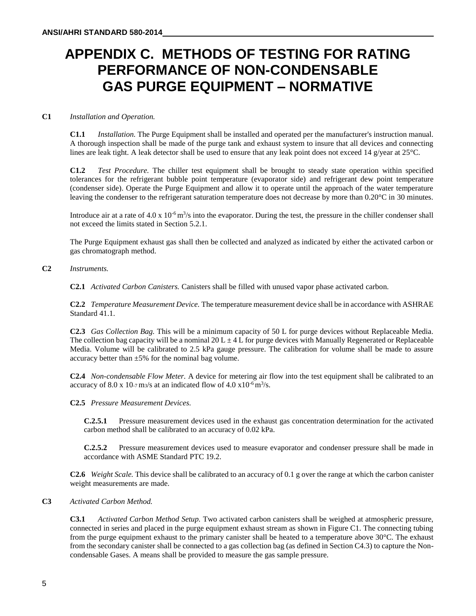### **APPENDIX C. METHODS OF TESTING FOR RATING PERFORMANCE OF NON-CONDENSABLE GAS PURGE EQUIPMENT – NORMATIVE**

### **C1** *Installation and Operation.*

**C1.1** *Installation.* The Purge Equipment shall be installed and operated per the manufacturer's instruction manual. A thorough inspection shall be made of the purge tank and exhaust system to insure that all devices and connecting lines are leak tight. A leak detector shall be used to ensure that any leak point does not exceed 14 g/year at 25 °C.

**C1.2** *Test Procedure.* The chiller test equipment shall be brought to steady state operation within specified tolerances for the refrigerant bubble point temperature (evaporator side) and refrigerant dew point temperature (condenser side). Operate the Purge Equipment and allow it to operate until the approach of the water temperature leaving the condenser to the refrigerant saturation temperature does not decrease by more than 0.20°C in 30 minutes.

Introduce air at a rate of  $4.0 \times 10^{-6}$  m<sup>3</sup>/s into the evaporator. During the test, the pressure in the chiller condenser shall not exceed the limits stated in Section 5.2.1.

The Purge Equipment exhaust gas shall then be collected and analyzed as indicated by either the activated carbon or gas chromatograph method.

### **C2** *Instruments.*

**C2.1** *Activated Carbon Canisters.* Canisters shall be filled with unused vapor phase activated carbon.

**C2.2** *Temperature Measurement Device.* The temperature measurement device shall be in accordance with ASHRAE Standard 41.1.

**C2.3** *Gas Collection Bag.* This will be a minimum capacity of 50 L for purge devices without Replaceable Media. The collection bag capacity will be a nominal 20 L  $\pm$  4 L for purge devices with Manually Regenerated or Replaceable Media. Volume will be calibrated to 2.5 kPa gauge pressure. The calibration for volume shall be made to assure accuracy better than  $\pm 5\%$  for the nominal bag volume.

**C2.4** *Non-condensable Flow Meter.* A device for metering air flow into the test equipment shall be calibrated to an accuracy of 8.0 x 10-7 m3/s at an indicated flow of 4.0  $\times$  10<sup>-6</sup> m<sup>3</sup>/s.

**C2.5** *Pressure Measurement Devices.* 

**C.2.5.1** Pressure measurement devices used in the exhaust gas concentration determination for the activated carbon method shall be calibrated to an accuracy of 0.02 kPa.

**C.2.5.2** Pressure measurement devices used to measure evaporator and condenser pressure shall be made in accordance with ASME Standard PTC 19.2.

**C2.6** *Weight Scale.* This device shall be calibrated to an accuracy of 0.1 g over the range at which the carbon canister weight measurements are made.

### **C3** *Activated Carbon Method.*

**C3.1** *Activated Carbon Method Setup.* Two activated carbon canisters shall be weighed at atmospheric pressure, connected in series and placed in the purge equipment exhaust stream as shown in Figure C1. The connecting tubing from the purge equipment exhaust to the primary canister shall be heated to a temperature above 30°C. The exhaust from the secondary canister shall be connected to a gas collection bag (as defined in Section C4.3) to capture the Noncondensable Gases. A means shall be provided to measure the gas sample pressure.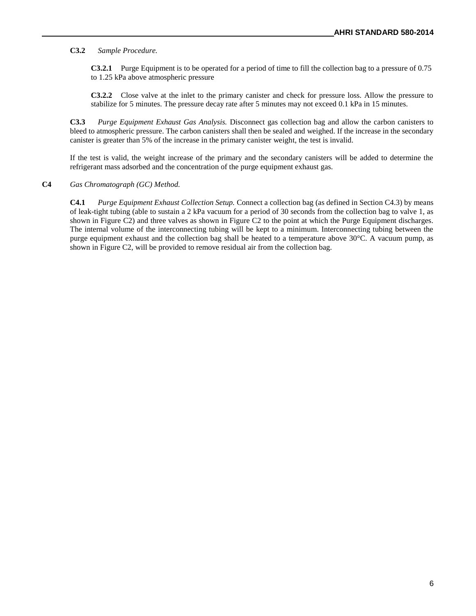**C3.2** *Sample Procedure.* 

**C3.2.1** Purge Equipment is to be operated for a period of time to fill the collection bag to a pressure of 0.75 to 1.25 kPa above atmospheric pressure

**C3.2.2** Close valve at the inlet to the primary canister and check for pressure loss. Allow the pressure to stabilize for 5 minutes. The pressure decay rate after 5 minutes may not exceed 0.1 kPa in 15 minutes.

**C3.3** *Purge Equipment Exhaust Gas Analysis.* Disconnect gas collection bag and allow the carbon canisters to bleed to atmospheric pressure. The carbon canisters shall then be sealed and weighed. If the increase in the secondary canister is greater than 5% of the increase in the primary canister weight, the test is invalid.

If the test is valid, the weight increase of the primary and the secondary canisters will be added to determine the refrigerant mass adsorbed and the concentration of the purge equipment exhaust gas.

### **C4** *Gas Chromatograph (GC) Method.*

**C4.1** *Purge Equipment Exhaust Collection Setup.* Connect a collection bag (as defined in Section C4.3) by means of leak-tight tubing (able to sustain a 2 kPa vacuum for a period of 30 seconds from the collection bag to valve 1, as shown in Figure C2) and three valves as shown in Figure C2 to the point at which the Purge Equipment discharges. The internal volume of the interconnecting tubing will be kept to a minimum. Interconnecting tubing between the purge equipment exhaust and the collection bag shall be heated to a temperature above 30°C. A vacuum pump, as shown in Figure C2, will be provided to remove residual air from the collection bag.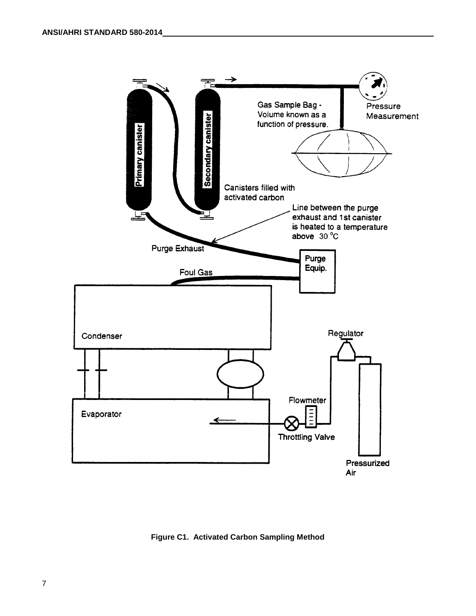

**Figure C1. Activated Carbon Sampling Method**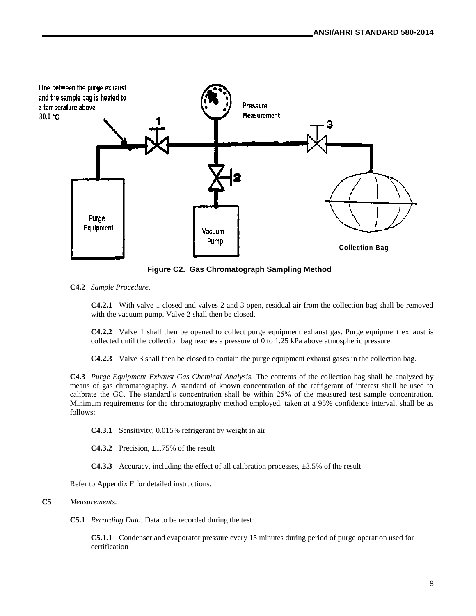

**Figure C2. Gas Chromatograph Sampling Method**

**C4.2** *Sample Procedure.* 

**C4.2.1** With valve 1 closed and valves 2 and 3 open, residual air from the collection bag shall be removed with the vacuum pump. Valve 2 shall then be closed.

**C4.2.2** Valve 1 shall then be opened to collect purge equipment exhaust gas. Purge equipment exhaust is collected until the collection bag reaches a pressure of 0 to 1.25 kPa above atmospheric pressure.

**C4.2.3** Valve 3 shall then be closed to contain the purge equipment exhaust gases in the collection bag.

**C4.3** *Purge Equipment Exhaust Gas Chemical Analysis.* The contents of the collection bag shall be analyzed by means of gas chromatography. A standard of known concentration of the refrigerant of interest shall be used to calibrate the GC. The standard's concentration shall be within 25% of the measured test sample concentration. Minimum requirements for the chromatography method employed, taken at a 95% confidence interval, shall be as follows:

**C4.3.1** Sensitivity, 0.015% refrigerant by weight in air

**C4.3.2** Precision,  $\pm 1.75\%$  of the result

**C4.3.3** Accuracy, including the effect of all calibration processes, ±3.5% of the result

Refer to Appendix F for detailed instructions.

### **C5** *Measurements.*

**C5.1** *Recording Data.* Data to be recorded during the test:

**C5.1.1** Condenser and evaporator pressure every 15 minutes during period of purge operation used for certification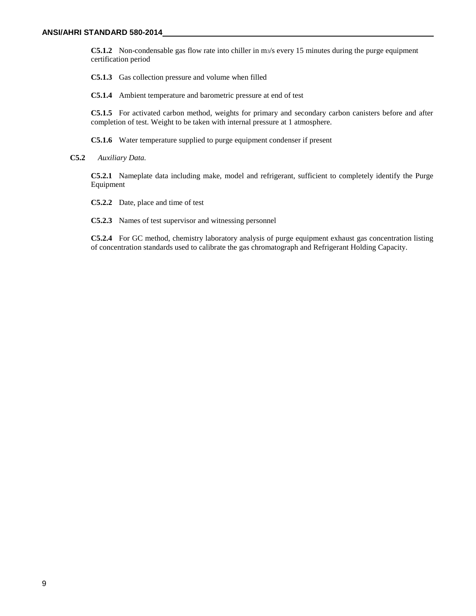**C5.1.2** Non-condensable gas flow rate into chiller in m3/s every 15 minutes during the purge equipment certification period

**C5.1.3** Gas collection pressure and volume when filled

**C5.1.4** Ambient temperature and barometric pressure at end of test

**C5.1.5** For activated carbon method, weights for primary and secondary carbon canisters before and after completion of test. Weight to be taken with internal pressure at 1 atmosphere.

**C5.1.6** Water temperature supplied to purge equipment condenser if present

**C5.2** *Auxiliary Data.* 

**C5.2.1** Nameplate data including make, model and refrigerant, sufficient to completely identify the Purge Equipment

**C5.2.2** Date, place and time of test

**C5.2.3** Names of test supervisor and witnessing personnel

**C5.2.4** For GC method, chemistry laboratory analysis of purge equipment exhaust gas concentration listing of concentration standards used to calibrate the gas chromatograph and Refrigerant Holding Capacity.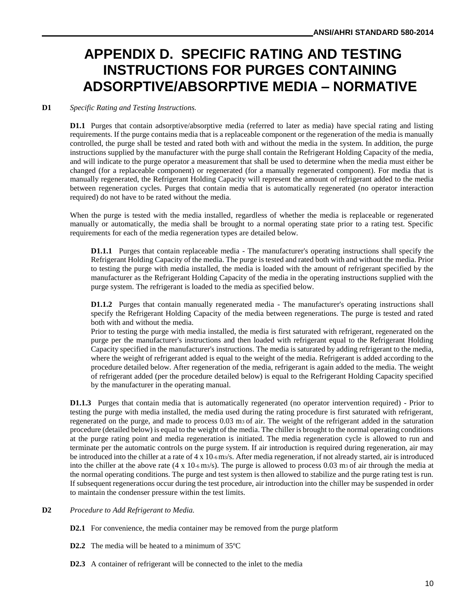### **APPENDIX D. SPECIFIC RATING AND TESTING INSTRUCTIONS FOR PURGES CONTAINING ADSORPTIVE/ABSORPTIVE MEDIA – NORMATIVE**

### **D1** *Specific Rating and Testing Instructions.*

**D1.1** Purges that contain adsorptive/absorptive media (referred to later as media) have special rating and listing requirements. If the purge contains media that is a replaceable component or the regeneration of the media is manually controlled, the purge shall be tested and rated both with and without the media in the system. In addition, the purge instructions supplied by the manufacturer with the purge shall contain the Refrigerant Holding Capacity of the media, and will indicate to the purge operator a measurement that shall be used to determine when the media must either be changed (for a replaceable component) or regenerated (for a manually regenerated component). For media that is manually regenerated, the Refrigerant Holding Capacity will represent the amount of refrigerant added to the media between regeneration cycles. Purges that contain media that is automatically regenerated (no operator interaction required) do not have to be rated without the media.

When the purge is tested with the media installed, regardless of whether the media is replaceable or regenerated manually or automatically, the media shall be brought to a normal operating state prior to a rating test. Specific requirements for each of the media regeneration types are detailed below.

**D1.1.1** Purges that contain replaceable media - The manufacturer's operating instructions shall specify the Refrigerant Holding Capacity of the media. The purge is tested and rated both with and without the media. Prior to testing the purge with media installed, the media is loaded with the amount of refrigerant specified by the manufacturer as the Refrigerant Holding Capacity of the media in the operating instructions supplied with the purge system. The refrigerant is loaded to the media as specified below.

**D1.1.2** Purges that contain manually regenerated media - The manufacturer's operating instructions shall specify the Refrigerant Holding Capacity of the media between regenerations. The purge is tested and rated both with and without the media.

Prior to testing the purge with media installed, the media is first saturated with refrigerant, regenerated on the purge per the manufacturer's instructions and then loaded with refrigerant equal to the Refrigerant Holding Capacity specified in the manufacturer's instructions. The media is saturated by adding refrigerant to the media, where the weight of refrigerant added is equal to the weight of the media. Refrigerant is added according to the procedure detailed below. After regeneration of the media, refrigerant is again added to the media. The weight of refrigerant added (per the procedure detailed below) is equal to the Refrigerant Holding Capacity specified by the manufacturer in the operating manual.

**D1.1.3** Purges that contain media that is automatically regenerated (no operator intervention required) - Prior to testing the purge with media installed, the media used during the rating procedure is first saturated with refrigerant, regenerated on the purge, and made to process 0.03 m3 of air. The weight of the refrigerant added in the saturation procedure (detailed below) is equal to the weight of the media. The chiller is brought to the normal operating conditions at the purge rating point and media regeneration is initiated. The media regeneration cycle is allowed to run and terminate per the automatic controls on the purge system. If air introduction is required during regeneration, air may be introduced into the chiller at a rate of 4 x 10-6 m3/s. After media regeneration, if not already started, air is introduced into the chiller at the above rate  $(4 \times 10\cdot 6 \text{ m/s})$ . The purge is allowed to process 0.03 ms of air through the media at the normal operating conditions. The purge and test system is then allowed to stabilize and the purge rating test is run. If subsequent regenerations occur during the test procedure, air introduction into the chiller may be suspended in order to maintain the condenser pressure within the test limits.

### **D2** *Procedure to Add Refrigerant to Media.*

**D2.1** For convenience, the media container may be removed from the purge platform

**D2.2** The media will be heated to a minimum of 35ºC

**D2.3** A container of refrigerant will be connected to the inlet to the media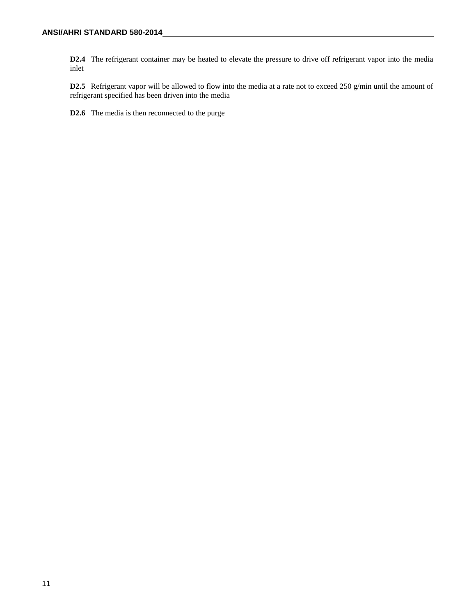**D2.4** The refrigerant container may be heated to elevate the pressure to drive off refrigerant vapor into the media inlet

**D2.5** Refrigerant vapor will be allowed to flow into the media at a rate not to exceed 250 g/min until the amount of refrigerant specified has been driven into the media

**D2.6** The media is then reconnected to the purge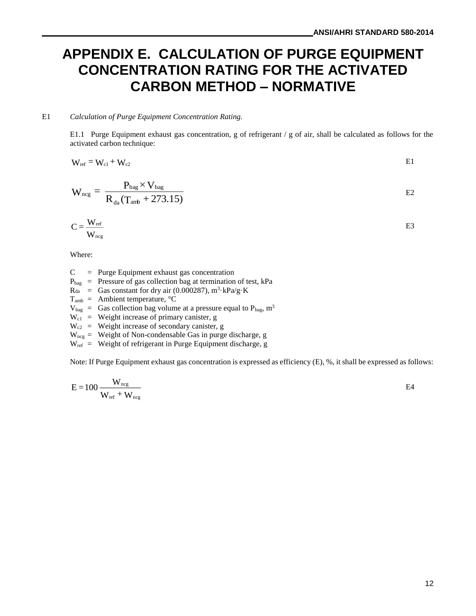### **APPENDIX E. CALCULATION OF PURGE EQUIPMENT CONCENTRATION RATING FOR THE ACTIVATED CARBON METHOD – NORMATIVE**

#### E1 *Calculation of Purge Equipment Concentration Rating.*

E1.1 Purge Equipment exhaust gas concentration, g of refrigerant / g of air, shall be calculated as follows for the activated carbon technique:

$$
W_{ref} = W_{c1} + W_{c2}
$$
 E1

$$
W_{\text{neg}} = \frac{P_{\text{bag}} \times V_{\text{bag}}}{R_{\text{da}} (T_{\text{amb}} + 273.15)}
$$
 E2

$$
C = \frac{W_{ref}}{W_{neg}}
$$

Where:

 $C = Purge Equipment exhaust gas concentration$ 

 $P_{bag}$  = Pressure of gas collection bag at termination of test, kPa

- $R_{da}$  = Gas constant for dry air (0.000287),  $m^3$ ·kPa/g·K
- $T_{amb}$  = Ambient temperature,  $°C$
- $V_{bag}$  = Gas collection bag volume at a pressure equal to  $P_{bag}$ , m<sup>3</sup>
- $W_{c1}$  = Weight increase of primary canister, g
- $W_{c2}$  = Weight increase of secondary canister, g
- $W_{\text{neg}}$  = Weight of Non-condensable Gas in purge discharge, g
- $W_{ref}$  = Weight of refrigerant in Purge Equipment discharge, g

Note: If Purge Equipment exhaust gas concentration is expressed as efficiency (E), %, it shall be expressed as follows:

$$
E = 100 \frac{W_{\text{neg}}}{W_{\text{ref}} + W_{\text{neg}}}
$$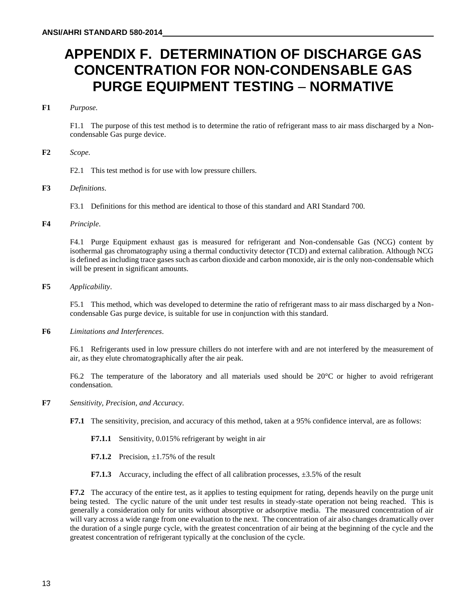### **APPENDIX F. DETERMINATION OF DISCHARGE GAS CONCENTRATION FOR NON-CONDENSABLE GAS PURGE EQUIPMENT TESTING** – **NORMATIVE**

### **F1** *Purpose.*

F1.1 The purpose of this test method is to determine the ratio of refrigerant mass to air mass discharged by a Noncondensable Gas purge device.

#### **F2** *Scope.*

F2.1 This test method is for use with low pressure chillers.

### **F3** *Definitions*.

F3.1 Definitions for this method are identical to those of this standard and ARI Standard 700.

### **F4** *Principle*.

F4.1 Purge Equipment exhaust gas is measured for refrigerant and Non-condensable Gas (NCG) content by isothermal gas chromatography using a thermal conductivity detector (TCD) and external calibration. Although NCG is defined as including trace gases such as carbon dioxide and carbon monoxide, air is the only non-condensable which will be present in significant amounts.

### **F5** *Applicability*.

F5.1 This method, which was developed to determine the ratio of refrigerant mass to air mass discharged by a Noncondensable Gas purge device, is suitable for use in conjunction with this standard.

**F6** *Limitations and Interferences*.

F6.1 Refrigerants used in low pressure chillers do not interfere with and are not interfered by the measurement of air, as they elute chromatographically after the air peak.

F6.2 The temperature of the laboratory and all materials used should be 20°C or higher to avoid refrigerant condensation.

- **F7** *Sensitivity, Precision, and Accuracy.*
	- **F7.1** The sensitivity, precision, and accuracy of this method, taken at a 95% confidence interval, are as follows:
		- **F7.1.1** Sensitivity, 0.015% refrigerant by weight in air
		- **F7.1.2** Precision,  $\pm 1.75\%$  of the result
		- **F7.1.3** Accuracy, including the effect of all calibration processes,  $\pm 3.5\%$  of the result

**F7.2** The accuracy of the entire test, as it applies to testing equipment for rating, depends heavily on the purge unit being tested. The cyclic nature of the unit under test results in steady-state operation not being reached. This is generally a consideration only for units without absorptive or adsorptive media. The measured concentration of air will vary across a wide range from one evaluation to the next. The concentration of air also changes dramatically over the duration of a single purge cycle, with the greatest concentration of air being at the beginning of the cycle and the greatest concentration of refrigerant typically at the conclusion of the cycle.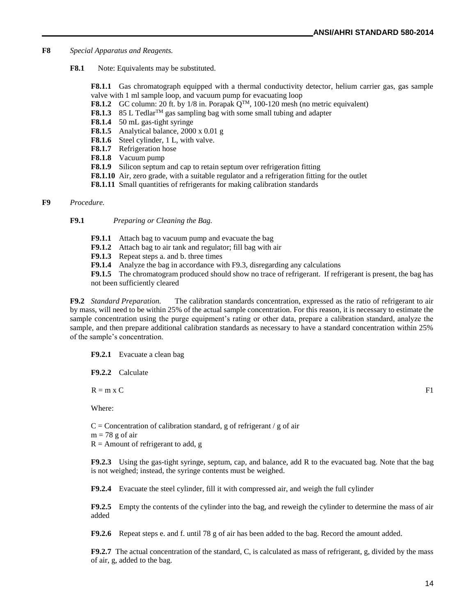- **F8** *Special Apparatus and Reagents.*
	- **F8.1** Note: Equivalents may be substituted.

**F8.1.1** Gas chromatograph equipped with a thermal conductivity detector, helium carrier gas, gas sample valve with 1 ml sample loop, and vacuum pump for evacuating loop

- **F8.1.2** GC column: 20 ft. by  $1/8$  in. Porapak  $Q^{TM}$ , 100-120 mesh (no metric equivalent)
- **F8.1.3** 85 L Tedlar<sup>TM</sup> gas sampling bag with some small tubing and adapter
- **F8.1.4** 50 mL gas-tight syringe
- **F8.1.5** Analytical balance, 2000 x 0.01 g
- **F8.1.6** Steel cylinder, 1 L, with valve.
- **F8.1.7** Refrigeration hose
- **F8.1.8** Vacuum pump
- **F8.1.9** Silicon septum and cap to retain septum over refrigeration fitting
- **F8.1.10** Air, zero grade, with a suitable regulator and a refrigeration fitting for the outlet
- **F8.1.11** Small quantities of refrigerants for making calibration standards

#### **F9** *Procedure.*

- **F9.1** *Preparing or Cleaning the Bag.*
	- **F9.1.1** Attach bag to vacuum pump and evacuate the bag
	- **F9.1.2** Attach bag to air tank and regulator; fill bag with air
	- **F9.1.3** Repeat steps a. and b. three times
	- **F9.1.4** Analyze the bag in accordance with F9.3, disregarding any calculations
	- **F9.1.5** The chromatogram produced should show no trace of refrigerant. If refrigerant is present, the bag has not been sufficiently cleared

**F9.2** *Standard Preparation.* The calibration standards concentration, expressed as the ratio of refrigerant to air by mass, will need to be within 25% of the actual sample concentration. For this reason, it is necessary to estimate the sample concentration using the purge equipment's rating or other data, prepare a calibration standard, analyze the sample, and then prepare additional calibration standards as necessary to have a standard concentration within 25% of the sample's concentration.

**F9.2.1** Evacuate a clean bag

**F9.2.2** Calculate

 $R = m \times C$  F1

Where:

 $C =$  Concentration of calibration standard, g of refrigerant / g of air

 $m = 78$  g of air

 $R =$  Amount of refrigerant to add, g

**F9.2.3** Using the gas-tight syringe, septum, cap, and balance, add R to the evacuated bag. Note that the bag is not weighed; instead, the syringe contents must be weighed.

**F9.2.4** Evacuate the steel cylinder, fill it with compressed air, and weigh the full cylinder

**F9.2.5** Empty the contents of the cylinder into the bag, and reweigh the cylinder to determine the mass of air added

**F9.2.6** Repeat steps e. and f. until 78 g of air has been added to the bag. Record the amount added.

**F9.2.7** The actual concentration of the standard, C, is calculated as mass of refrigerant, g, divided by the mass of air, g, added to the bag.